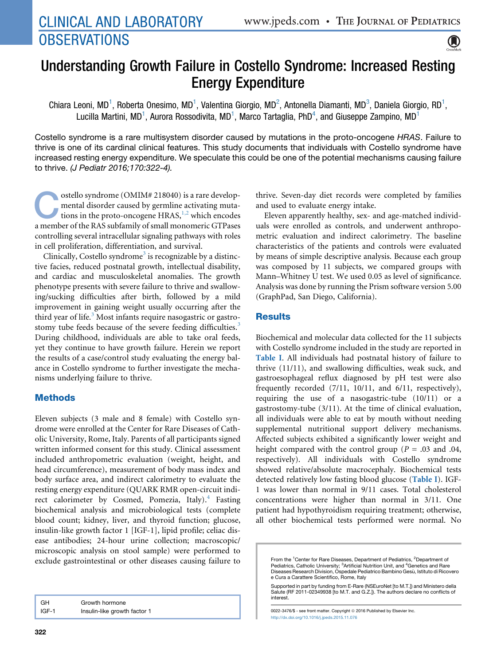# **CLINICAL AND LABORATORY OBSERVATIONS**



# Understanding Growth Failure in Costello Syndrome: Increased Resting Energy Expenditure

Chiara Leoni, MD<sup>1</sup>, Roberta Onesimo, MD<sup>1</sup>, Valentina Giorgio, MD<sup>2</sup>, Antonella Diamanti, MD<sup>3</sup>, Daniela Giorgio, RD<sup>1</sup>, Lucilla Martini, MD<sup>1</sup>, Aurora Rossodivita, MD<sup>1</sup>, Marco Tartaglia, PhD<sup>4</sup>, and Giuseppe Zampino, MD<sup>1</sup>

Costello syndrome is a rare multisystem disorder caused by mutations in the proto-oncogene *HRAS*. Failure to thrive is one of its cardinal clinical features. This study documents that individuals with Costello syndrome have increased resting energy expenditure. We speculate this could be one of the potential mechanisms causing failure to thrive. *(J Pediatr 2016;170:322-4).*

ostello syndrome (OMIM# 218040) is a rare develop-<br>
mental disorder caused by germline activating muta-<br>
tions in the proto-oncogene HRAS,<sup>[1,2](#page-2-0)</sup> which encodes<br>
a mamber of the PAS subfamily of small monomeric GTPasses mental disorder caused by germline activating mutaa member of the RAS subfamily of small monomeric GTPases controlling several intracellular signaling pathways with roles in cell proliferation, differentiation, and survival.

Clinically, Costello syndrome<sup>[3](#page-2-0)</sup> is recognizable by a distinctive facies, reduced postnatal growth, intellectual disability, and cardiac and musculoskeletal anomalies. The growth phenotype presents with severe failure to thrive and swallowing/sucking difficulties after birth, followed by a mild improvement in gaining weight usually occurring after the third year of life. $3$  Most infants require nasogastric or gastro-stomy tube feeds because of the severe feeding difficulties.<sup>[3](#page-2-0)</sup> During childhood, individuals are able to take oral feeds, yet they continue to have growth failure. Herein we report the results of a case/control study evaluating the energy balance in Costello syndrome to further investigate the mechanisms underlying failure to thrive.

### Methods

Eleven subjects (3 male and 8 female) with Costello syndrome were enrolled at the Center for Rare Diseases of Catholic University, Rome, Italy. Parents of all participants signed written informed consent for this study. Clinical assessment included anthropometric evaluation (weight, height, and head circumference), measurement of body mass index and body surface area, and indirect calorimetry to evaluate the resting energy expenditure (QUARK RMR open-circuit indirect calorimeter by Cosmed, Pomezia, Italy). $4$  Fasting biochemical analysis and microbiological tests (complete blood count; kidney, liver, and thyroid function; glucose, insulin-like growth factor 1 [IGF-1], lipid profile; celiac disease antibodies; 24-hour urine collection; macroscopic/ microscopic analysis on stool sample) were performed to exclude gastrointestinal or other diseases causing failure to

| GH    | Growth hormone               |
|-------|------------------------------|
| IGF-1 | Insulin-like growth factor 1 |

thrive. Seven-day diet records were completed by families and used to evaluate energy intake.

Eleven apparently healthy, sex- and age-matched individuals were enrolled as controls, and underwent anthropometric evaluation and indirect calorimetry. The baseline characteristics of the patients and controls were evaluated by means of simple descriptive analysis. Because each group was composed by 11 subjects, we compared groups with Mann–Whitney U test. We used 0.05 as level of significance. Analysis was done by running the Prism software version 5.00 (GraphPad, San Diego, California).

### **Results**

Biochemical and molecular data collected for the 11 subjects with Costello syndrome included in the study are reported in [Table I](#page-1-0). All individuals had postnatal history of failure to thrive (11/11), and swallowing difficulties, weak suck, and gastroesophageal reflux diagnosed by pH test were also frequently recorded (7/11, 10/11, and 6/11, respectively), requiring the use of a nasogastric-tube (10/11) or a gastrostomy-tube (3/11). At the time of clinical evaluation, all individuals were able to eat by mouth without needing supplemental nutritional support delivery mechanisms. Affected subjects exhibited a significantly lower weight and height compared with the control group ( $P = .03$  and .04, respectively). All individuals with Costello syndrome showed relative/absolute macrocephaly. Biochemical tests detected relatively low fasting blood glucose ([Table I](#page-1-0)). IGF-1 was lower than normal in 9/11 cases. Total cholesterol concentrations were higher than normal in 3/11. One patient had hypothyroidism requiring treatment; otherwise, all other biochemical tests performed were normal. No

From the <sup>1</sup>Center for Rare Diseases, Department of Pediatrics, <sup>2</sup>Department of<br>Pediatrics, Catholic University; <sup>3</sup>Artificial Nutrition Unit, and <sup>4</sup>Genetics and Rare Diseases Research Division, Ospedale Pediatrico Bambino Gesù, Istituto di Ricovero e Cura a Carattere Scientifico, Rome, Italy

Supported in part by funding from E-Rare (NSEuroNet [to M.T.]) and Ministero della Salute (RF 2011-02349938 [to M.T. and G.Z.]). The authors declare no conflicts of interest.

<sup>0022-3476/\$ -</sup> see front matter. Copyright @ 2016 Published by Elsevier Inc. <http://dx.doi.org/10.1016/j.jpeds.2015.11.076>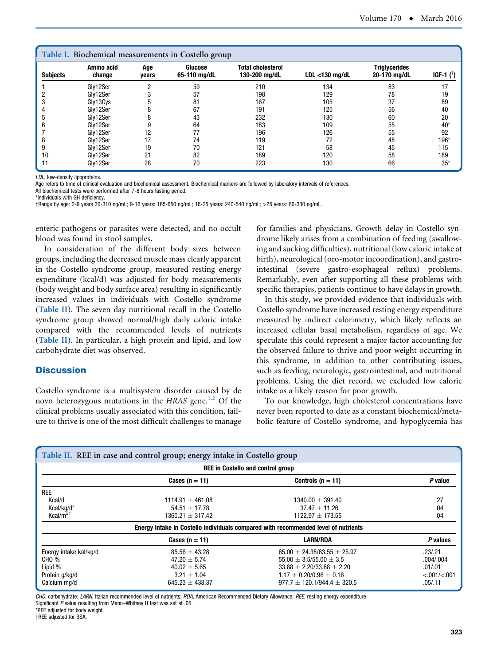<span id="page-1-0"></span>

| Table I. Biochemical measurements in Costello group |                      |              |                         |                                           |                   |                                      |                            |  |  |
|-----------------------------------------------------|----------------------|--------------|-------------------------|-------------------------------------------|-------------------|--------------------------------------|----------------------------|--|--|
| <b>Subjects</b>                                     | Amino acid<br>change | Age<br>years | Glucose<br>65-110 mg/dL | <b>Total cholesterol</b><br>130-200 mg/dL | $LDL < 130$ mg/dL | <b>Triglycerides</b><br>20-170 mg/dL | IGF-1 $($ <sup>1</sup> $)$ |  |  |
|                                                     | Gly12Ser             | n            | 59                      | 210                                       | 134               | 83                                   | 17                         |  |  |
|                                                     | Gly12Ser             |              | 57                      | 198                                       | 129               | 78                                   | 19                         |  |  |
|                                                     | Gly13Cys             |              | 81                      | 167                                       | 105               | 37                                   | 89                         |  |  |
|                                                     | Gly12Ser             |              | 67                      | 191                                       | 125               | 56                                   | 40                         |  |  |
|                                                     | Gly12Ser             |              | 43                      | 232                                       | 130               | 60                                   | 20                         |  |  |
|                                                     | Gly12Ser             |              | 64                      | 183                                       | 109               | 55                                   | $40*$                      |  |  |
|                                                     | Gly12Ser             | 12           | 77                      | 196                                       | 126               | 55                                   | 92                         |  |  |
| 8                                                   | Gly12Ser             |              | 74                      | 119                                       | 72                | 48                                   | 196*                       |  |  |
| 9                                                   | Gly12Ser             | 19           | 70                      | 121                                       | 58                | 45                                   | 115                        |  |  |
| 10                                                  | Glv12Ser             | 21           | 82                      | 189                                       | 120               | 58                                   | 189                        |  |  |
|                                                     | Gly12Ser             | 28           | 70                      | 223                                       | 130               | 66                                   | $35*$                      |  |  |

LDL, low-density lipoproteins.

Age refers to time of clinical evaluation and biochemical assessment. Biochemical markers are followed by laboratory intervals of references.

All biochemical tests were performed after 7-8 hours fasting period.

\*Individuals with GH deficiency.

†Range by age: 2-9 years 30-310 ng/mL; 9-16 years: 165-650 ng/mL; 16-25 years: 240-540 ng/mL; >25 years: 80-330 ng/mL.

enteric pathogens or parasites were detected, and no occult blood was found in stool samples.

In consideration of the different body sizes between groups, including the decreased muscle mass clearly apparent in the Costello syndrome group, measured resting energy expenditure (kcal/d) was adjusted for body measurements (body weight and body surface area) resulting in significantly increased values in individuals with Costello syndrome (Table II). The seven day nutritional recall in the Costello syndrome group showed normal/high daily caloric intake compared with the recommended levels of nutrients (Table II). In particular, a high protein and lipid, and low carbohydrate diet was observed.

#### **Discussion**

Costello syndrome is a multisystem disorder caused by de novo heterozygous mutations in the HRAS gene.<sup>[1,2](#page-2-0)</sup> Of the clinical problems usually associated with this condition, failure to thrive is one of the most difficult challenges to manage

for families and physicians. Growth delay in Costello syndrome likely arises from a combination of feeding (swallowing and sucking difficulties), nutritional (low caloric intake at birth), neurological (oro-motor incoordination), and gastrointestinal (severe gastro-esophageal reflux) problems. Remarkably, even after supporting all these problems with specific therapies, patients continue to have delays in growth.

In this study, we provided evidence that individuals with Costello syndrome have increased resting energy expenditure measured by indirect calorimetry, which likely reflects an increased cellular basal metabolism, regardless of age. We speculate this could represent a major factor accounting for the observed failure to thrive and poor weight occurring in this syndrome, in addition to other contributing issues, such as feeding, neurologic, gastrointestinal, and nutritional problems. Using the diet record, we excluded low caloric intake as a likely reason for poor growth.

To our knowledge, high cholesterol concentrations have never been reported to date as a constant biochemical/metabolic feature of Costello syndrome, and hypoglycemia has

| Table II. REE in case and control group; energy intake in Costello group           |                      |                                 |                 |  |  |  |  |
|------------------------------------------------------------------------------------|----------------------|---------------------------------|-----------------|--|--|--|--|
| <b>REE in Costello and control group</b>                                           |                      |                                 |                 |  |  |  |  |
|                                                                                    | Cases $(n = 11)$     | Controls ( $n = 11$ )           | P value         |  |  |  |  |
| <b>REE</b>                                                                         |                      |                                 |                 |  |  |  |  |
| Kcal/d                                                                             | $1114.91 \pm 461.08$ | $1340.00 \pm 391.40$            | .27             |  |  |  |  |
| Kcal/kg/d*                                                                         | $54.51 + 17.78$      | $37.47 + 11.26$                 | .04             |  |  |  |  |
| Kcal/m <sup>2+</sup>                                                               | $1360.21 + 317.42$   | $1122.97 \pm 173.55$            | .04             |  |  |  |  |
| Energy intake in Costello individuals compared with recommended level of nutrients |                      |                                 |                 |  |  |  |  |
|                                                                                    | Cases $(n = 11)$     | <b>LARN/RDA</b>                 | P values        |  |  |  |  |
| Energy intake kal/kg/d                                                             | $85.56 + 43.28$      | $65.00 + 24.38/63.55 + 25.97$   | .23/.21         |  |  |  |  |
| <b>CHO %</b>                                                                       | $47.20 \pm 5.74$     | $55.00 \pm 3.5/55.00 \pm 3.5$   | .004/004        |  |  |  |  |
| Lipid %                                                                            | $40.02 + 5.65$       | $33.88 \pm 2.20/33.88 \pm 2.20$ | .01/.01         |  |  |  |  |
| Protein g/kg/d                                                                     | $3.21 + 1.04$        | $1.17 + 0.20/0.96 + 0.16$       | < 0.01 / < 0.01 |  |  |  |  |
| Calcium mg/d                                                                       | 645.23 $\pm$ 438.37  | $977.7 + 120.1/944.4 + 320.5$   | .05/0.11        |  |  |  |  |

CHO, carbohydrate; LARN, Italian recommended level of nutrients; RDA, American Recommended Dietary Allowance; REE, resting energy expenditure. Significant P value resulting from Mann–Whitney U test was set at .05.

\*REE adjusted for body weight. †REE adjusted for BSA.